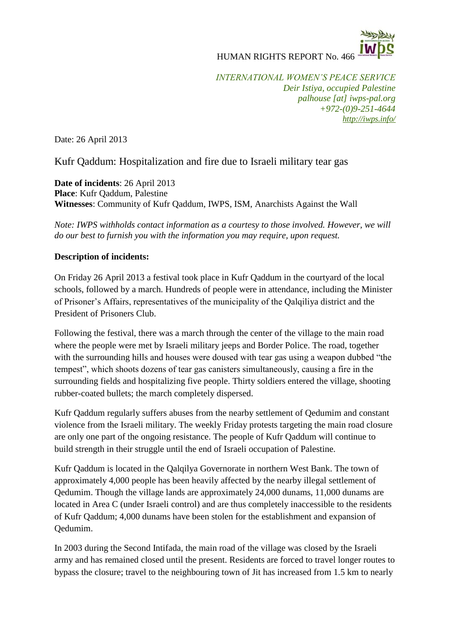## HUMAN RIGHTS REPORT No. 466

*INTERNATIONAL WOMEN'S PEACE SERVICE Deir Istiya, occupied Palestine palhouse [at] iwps-pal.org +972-(0)9-251-4644 <http://iwps.info/>*

Date: 26 April 2013

## Kufr Qaddum: Hospitalization and fire due to Israeli military tear gas

**Date of incidents**: 26 April 2013 **Place**: Kufr Qaddum, Palestine **Witnesses**: Community of Kufr Qaddum, IWPS, ISM, Anarchists Against the Wall

*Note: IWPS withholds contact information as a courtesy to those involved. However, we will do our best to furnish you with the information you may require, upon request.*

## **Description of incidents:**

On Friday 26 April 2013 a festival took place in Kufr Qaddum in the courtyard of the local schools, followed by a march. Hundreds of people were in attendance, including the Minister of Prisoner's Affairs, representatives of the municipality of the Qalqiliya district and the President of Prisoners Club.

Following the festival, there was a march through the center of the village to the main road where the people were met by Israeli military jeeps and Border Police. The road, together with the surrounding hills and houses were doused with tear gas using a weapon dubbed "the tempest", which shoots dozens of tear gas canisters simultaneously, causing a fire in the surrounding fields and hospitalizing five people. Thirty soldiers entered the village, shooting rubber-coated bullets; the march completely dispersed.

Kufr Qaddum regularly suffers abuses from the nearby settlement of Qedumim and constant violence from the Israeli military. The weekly Friday protests targeting the main road closure are only one part of the ongoing resistance. The people of Kufr Qaddum will continue to build strength in their struggle until the end of Israeli occupation of Palestine.

Kufr Qaddum is located in the Qalqilya Governorate in northern West Bank. The town of approximately 4,000 people has been heavily affected by the nearby illegal settlement of Qedumim. Though the village lands are approximately 24,000 dunams, 11,000 dunams are located in Area C (under Israeli control) and are thus completely inaccessible to the residents of Kufr Qaddum; 4,000 dunams have been stolen for the establishment and expansion of Qedumim.

In 2003 during the Second Intifada, the main road of the village was closed by the Israeli army and has remained closed until the present. Residents are forced to travel longer routes to bypass the closure; travel to the neighbouring town of Jit has increased from 1.5 km to nearly